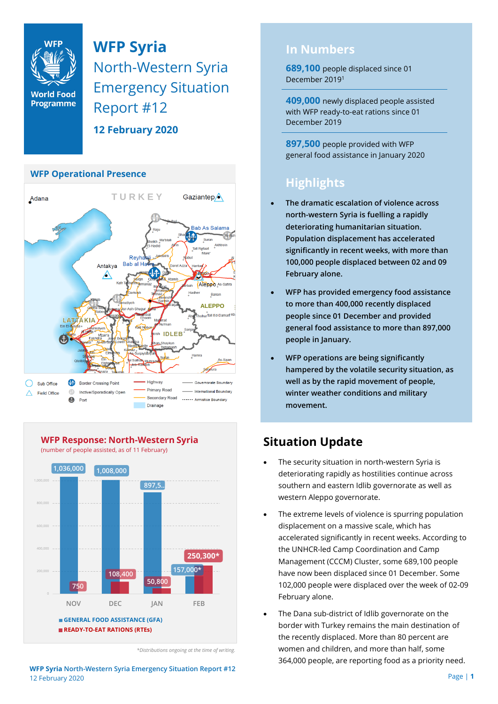

**WFP Syria** North-Western Syria Emergency Situation Report #12

**12 February 2020**

#### **WFP Operational Presence**





**WFP Response: North-Western Syria** (number of people assisted, as of 11 February)

### **In Numbers**

**689,100** people displaced since 01 December 2019<sup>1</sup>

**409,000** newly displaced people assisted with WFP ready-to-eat rations since 01 December 2019

**897,500** people provided with WFP general food assistance in January 2020

# **Highlights**

- **The dramatic escalation of violence across north-western Syria is fuelling a rapidly deteriorating humanitarian situation. Population displacement has accelerated significantly in recent weeks, with more than 100,000 people displaced between 02 and 09 February alone.**
- **WFP has provided emergency food assistance to more than 400,000 recently displaced people since 01 December and provided general food assistance to more than 897,000 people in January.**
- **WFP operations are being significantly hampered by the volatile security situation, as well as by the rapid movement of people, winter weather conditions and military movement.**

## **Situation Update**

- The security situation in north-western Syria is deteriorating rapidly as hostilities continue across southern and eastern Idlib governorate as well as western Aleppo governorate.
- The extreme levels of violence is spurring population displacement on a massive scale, which has accelerated significantly in recent weeks. According to the UNHCR-led Camp Coordination and Camp Management (CCCM) Cluster, some 689,100 people have now been displaced since 01 December. Some 102,000 people were displaced over the week of 02-09 February alone.
- The Dana sub-district of Idlib governorate on the border with Turkey remains the main destination of the recently displaced. More than 80 percent are women and children, and more than half, some 364,000 people, are reporting food as a priority need.

*<sup>\*</sup>Distributions ongoing at the time of writing.*